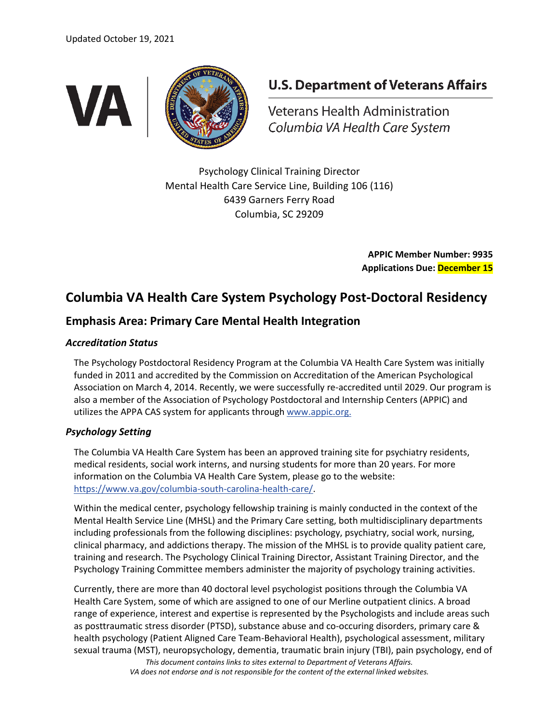

# **U.S. Department of Veterans Affairs**

Veterans Health Administration Columbia VA Health Care System

Psychology Clinical Training Director Mental Health Care Service Line, Building 106 (116) 6439 Garners Ferry Road Columbia, SC 29209

> **APPIC Member Number: 9935 Applications Due: December 15**

# **Columbia VA Health Care System Psychology Post-Doctoral Residency**

## **Emphasis Area: Primary Care Mental Health Integration**

### *Accreditation Status*

The Psychology Postdoctoral Residency Program at the Columbia VA Health Care System was initially funded in 2011 and accredited by the Commission on Accreditation of the American Psychological Association on March 4, 2014. Recently, we were successfully re-accredited until 2029. Our program is also a member of the Association of Psychology Postdoctoral and Internship Centers (APPIC) and utilizes the APPA CAS system for applicants through [www.appic.org.](http://www.appic.org/)

### *Psychology Setting*

The Columbia VA Health Care System has been an approved training site for psychiatry residents, medical residents, social work interns, and nursing students for more than 20 years. For more information on the Columbia VA Health Care System, please go to the website: [https://www.va.gov/columbia-south-carolina-health-care/.](https://www.va.gov/columbia-south-carolina-health-care/)

Within the medical center, psychology fellowship training is mainly conducted in the context of the Mental Health Service Line (MHSL) and the Primary Care setting, both multidisciplinary departments including professionals from the following disciplines: psychology, psychiatry, social work, nursing, clinical pharmacy, and addictions therapy. The mission of the MHSL is to provide quality patient care, training and research. The Psychology Clinical Training Director, Assistant Training Director, and the Psychology Training Committee members administer the majority of psychology training activities.

Currently, there are more than 40 doctoral level psychologist positions through the Columbia VA Health Care System, some of which are assigned to one of our Merline outpatient clinics. A broad range of experience, interest and expertise is represented by the Psychologists and include areas such as posttraumatic stress disorder (PTSD), substance abuse and co-occuring disorders, primary care & health psychology (Patient Aligned Care Team-Behavioral Health), psychological assessment, military sexual trauma (MST), neuropsychology, dementia, traumatic brain injury (TBI), pain psychology, end of

*This document contains links to sites external to Department of Veterans Affairs. VA does not endorse and is not responsible for the content of the external linked websites.*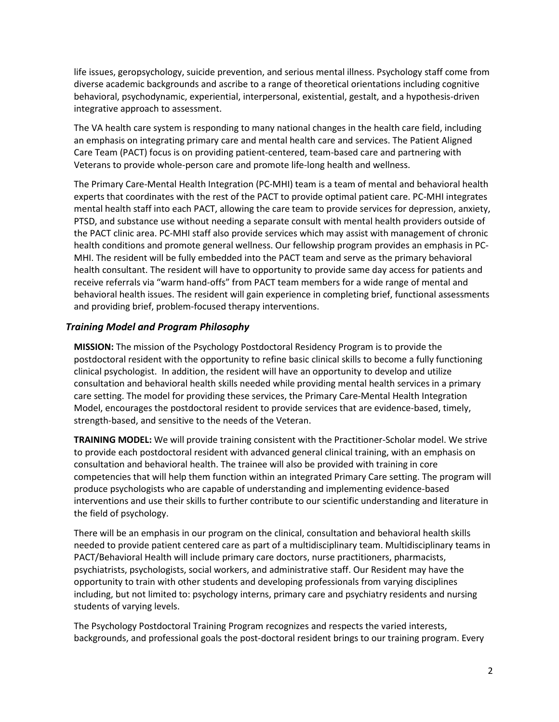life issues, geropsychology, suicide prevention, and serious mental illness. Psychology staff come from diverse academic backgrounds and ascribe to a range of theoretical orientations including cognitive behavioral, psychodynamic, experiential, interpersonal, existential, gestalt, and a hypothesis-driven integrative approach to assessment.

The VA health care system is responding to many national changes in the health care field, including an emphasis on integrating primary care and mental health care and services. The Patient Aligned Care Team (PACT) focus is on providing patient-centered, team-based care and partnering with Veterans to provide whole-person care and promote life-long health and wellness.

The Primary Care-Mental Health Integration (PC-MHI) team is a team of mental and behavioral health experts that coordinates with the rest of the PACT to provide optimal patient care. PC-MHI integrates mental health staff into each PACT, allowing the care team to provide services for depression, anxiety, PTSD, and substance use without needing a separate consult with mental health providers outside of the PACT clinic area. PC-MHI staff also provide services which may assist with management of chronic health conditions and promote general wellness. Our fellowship program provides an emphasis in PC-MHI. The resident will be fully embedded into the PACT team and serve as the primary behavioral health consultant. The resident will have to opportunity to provide same day access for patients and receive referrals via "warm hand-offs" from PACT team members for a wide range of mental and behavioral health issues. The resident will gain experience in completing brief, functional assessments and providing brief, problem-focused therapy interventions.

### *Training Model and Program Philosophy*

**MISSION:** The mission of the Psychology Postdoctoral Residency Program is to provide the postdoctoral resident with the opportunity to refine basic clinical skills to become a fully functioning clinical psychologist. In addition, the resident will have an opportunity to develop and utilize consultation and behavioral health skills needed while providing mental health services in a primary care setting. The model for providing these services, the Primary Care-Mental Health Integration Model, encourages the postdoctoral resident to provide services that are evidence-based, timely, strength-based, and sensitive to the needs of the Veteran.

**TRAINING MODEL:** We will provide training consistent with the Practitioner-Scholar model. We strive to provide each postdoctoral resident with advanced general clinical training, with an emphasis on consultation and behavioral health. The trainee will also be provided with training in core competencies that will help them function within an integrated Primary Care setting. The program will produce psychologists who are capable of understanding and implementing evidence-based interventions and use their skills to further contribute to our scientific understanding and literature in the field of psychology.

There will be an emphasis in our program on the clinical, consultation and behavioral health skills needed to provide patient centered care as part of a multidisciplinary team. Multidisciplinary teams in PACT/Behavioral Health will include primary care doctors, nurse practitioners, pharmacists, psychiatrists, psychologists, social workers, and administrative staff. Our Resident may have the opportunity to train with other students and developing professionals from varying disciplines including, but not limited to: psychology interns, primary care and psychiatry residents and nursing students of varying levels.

The Psychology Postdoctoral Training Program recognizes and respects the varied interests, backgrounds, and professional goals the post-doctoral resident brings to our training program. Every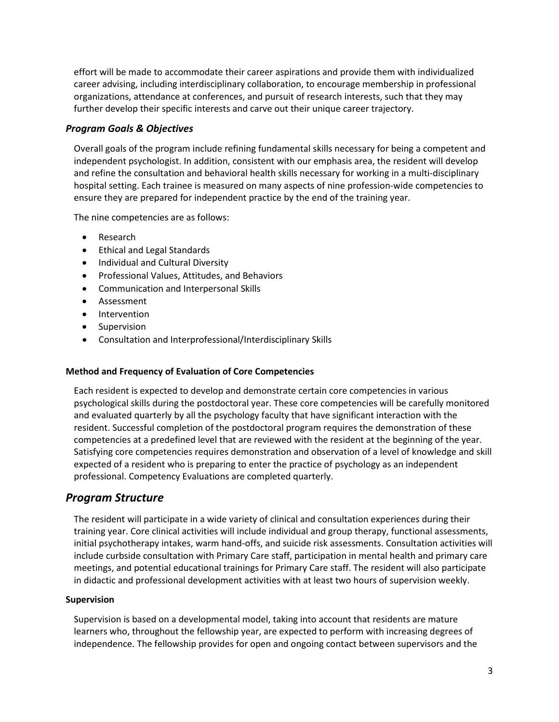effort will be made to accommodate their career aspirations and provide them with individualized career advising, including interdisciplinary collaboration, to encourage membership in professional organizations, attendance at conferences, and pursuit of research interests, such that they may further develop their specific interests and carve out their unique career trajectory.

### *Program Goals & Objectives*

Overall goals of the program include refining fundamental skills necessary for being a competent and independent psychologist. In addition, consistent with our emphasis area, the resident will develop and refine the consultation and behavioral health skills necessary for working in a multi-disciplinary hospital setting. Each trainee is measured on many aspects of nine profession-wide competencies to ensure they are prepared for independent practice by the end of the training year.

The nine competencies are as follows:

- Research
- Ethical and Legal Standards
- Individual and Cultural Diversity
- Professional Values, Attitudes, and Behaviors
- Communication and Interpersonal Skills
- Assessment
- Intervention
- Supervision
- Consultation and Interprofessional/Interdisciplinary Skills

### **Method and Frequency of Evaluation of Core Competencies**

Each resident is expected to develop and demonstrate certain core competencies in various psychological skills during the postdoctoral year. These core competencies will be carefully monitored and evaluated quarterly by all the psychology faculty that have significant interaction with the resident. Successful completion of the postdoctoral program requires the demonstration of these competencies at a predefined level that are reviewed with the resident at the beginning of the year. Satisfying core competencies requires demonstration and observation of a level of knowledge and skill expected of a resident who is preparing to enter the practice of psychology as an independent professional. Competency Evaluations are completed quarterly.

### *Program Structure*

The resident will participate in a wide variety of clinical and consultation experiences during their training year. Core clinical activities will include individual and group therapy, functional assessments, initial psychotherapy intakes, warm hand-offs, and suicide risk assessments. Consultation activities will include curbside consultation with Primary Care staff, participation in mental health and primary care meetings, and potential educational trainings for Primary Care staff. The resident will also participate in didactic and professional development activities with at least two hours of supervision weekly.

### **Supervision**

Supervision is based on a developmental model, taking into account that residents are mature learners who, throughout the fellowship year, are expected to perform with increasing degrees of independence. The fellowship provides for open and ongoing contact between supervisors and the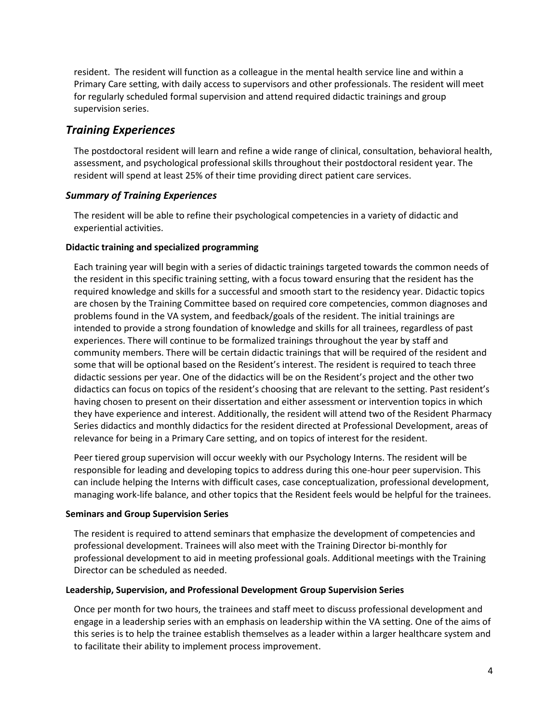resident. The resident will function as a colleague in the mental health service line and within a Primary Care setting, with daily access to supervisors and other professionals. The resident will meet for regularly scheduled formal supervision and attend required didactic trainings and group supervision series.

### *Training Experiences*

The postdoctoral resident will learn and refine a wide range of clinical, consultation, behavioral health, assessment, and psychological professional skills throughout their postdoctoral resident year. The resident will spend at least 25% of their time providing direct patient care services.

### *Summary of Training Experiences*

The resident will be able to refine their psychological competencies in a variety of didactic and experiential activities.

### **Didactic training and specialized programming**

Each training year will begin with a series of didactic trainings targeted towards the common needs of the resident in this specific training setting, with a focus toward ensuring that the resident has the required knowledge and skills for a successful and smooth start to the residency year. Didactic topics are chosen by the Training Committee based on required core competencies, common diagnoses and problems found in the VA system, and feedback/goals of the resident. The initial trainings are intended to provide a strong foundation of knowledge and skills for all trainees, regardless of past experiences. There will continue to be formalized trainings throughout the year by staff and community members. There will be certain didactic trainings that will be required of the resident and some that will be optional based on the Resident's interest. The resident is required to teach three didactic sessions per year. One of the didactics will be on the Resident's project and the other two didactics can focus on topics of the resident's choosing that are relevant to the setting. Past resident's having chosen to present on their dissertation and either assessment or intervention topics in which they have experience and interest. Additionally, the resident will attend two of the Resident Pharmacy Series didactics and monthly didactics for the resident directed at Professional Development, areas of relevance for being in a Primary Care setting, and on topics of interest for the resident.

Peer tiered group supervision will occur weekly with our Psychology Interns. The resident will be responsible for leading and developing topics to address during this one-hour peer supervision. This can include helping the Interns with difficult cases, case conceptualization, professional development, managing work-life balance, and other topics that the Resident feels would be helpful for the trainees.

### **Seminars and Group Supervision Series**

The resident is required to attend seminars that emphasize the development of competencies and professional development. Trainees will also meet with the Training Director bi-monthly for professional development to aid in meeting professional goals. Additional meetings with the Training Director can be scheduled as needed.

### **Leadership, Supervision, and Professional Development Group Supervision Series**

Once per month for two hours, the trainees and staff meet to discuss professional development and engage in a leadership series with an emphasis on leadership within the VA setting. One of the aims of this series is to help the trainee establish themselves as a leader within a larger healthcare system and to facilitate their ability to implement process improvement.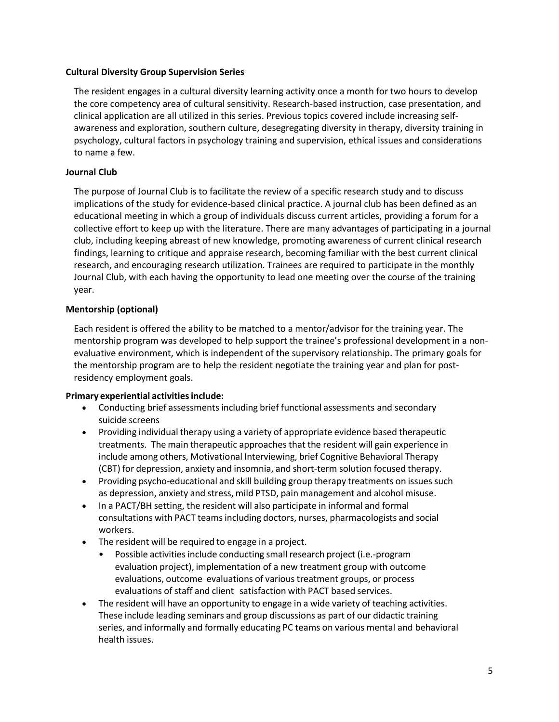### **Cultural Diversity Group Supervision Series**

The resident engages in a cultural diversity learning activity once a month for two hours to develop the core competency area of cultural sensitivity. Research-based instruction, case presentation, and clinical application are all utilized in this series. Previous topics covered include increasing selfawareness and exploration, southern culture, desegregating diversity in therapy, diversity training in psychology, cultural factors in psychology training and supervision, ethical issues and considerations to name a few.

### **Journal Club**

The purpose of Journal Club is to facilitate the review of a specific research study and to discuss implications of the study for evidence-based clinical practice. A journal club has been defined as an educational meeting in which a group of individuals discuss current articles, providing a forum for a collective effort to keep up with the literature. There are many advantages of participating in a journal club, including keeping abreast of new knowledge, promoting awareness of current clinical research findings, learning to critique and appraise research, becoming familiar with the best current clinical research, and encouraging research utilization. Trainees are required to participate in the monthly Journal Club, with each having the opportunity to lead one meeting over the course of the training year.

### **Mentorship (optional)**

Each resident is offered the ability to be matched to a mentor/advisor for the training year. The mentorship program was developed to help support the trainee's professional development in a nonevaluative environment, which is independent of the supervisory relationship. The primary goals for the mentorship program are to help the resident negotiate the training year and plan for postresidency employment goals.

### **Primary experiential activitiesinclude:**

- Conducting brief assessments including brief functional assessments and secondary suicide screens
- Providing individual therapy using a variety of appropriate evidence based therapeutic treatments. The main therapeutic approaches that the resident will gain experience in include among others, Motivational Interviewing, brief Cognitive Behavioral Therapy (CBT) for depression, anxiety and insomnia, and short-term solution focused therapy.
- Providing psycho-educational and skill building group therapy treatments on issues such as depression, anxiety and stress, mild PTSD, pain management and alcohol misuse.
- In a PACT/BH setting, the resident will also participate in informal and formal consultations with PACT teams including doctors, nurses, pharmacologists and social workers.
- The resident will be required to engage in a project.
	- Possible activitiesinclude conducting small research project (i.e.-program evaluation project), implementation of a new treatment group with outcome evaluations, outcome evaluations of various treatment groups, or process evaluations of staff and client satisfaction with PACT based services.
- The resident will have an opportunity to engage in a wide variety of teaching activities. These include leading seminars and group discussions as part of our didactic training series, and informally and formally educating PC teams on various mental and behavioral health issues.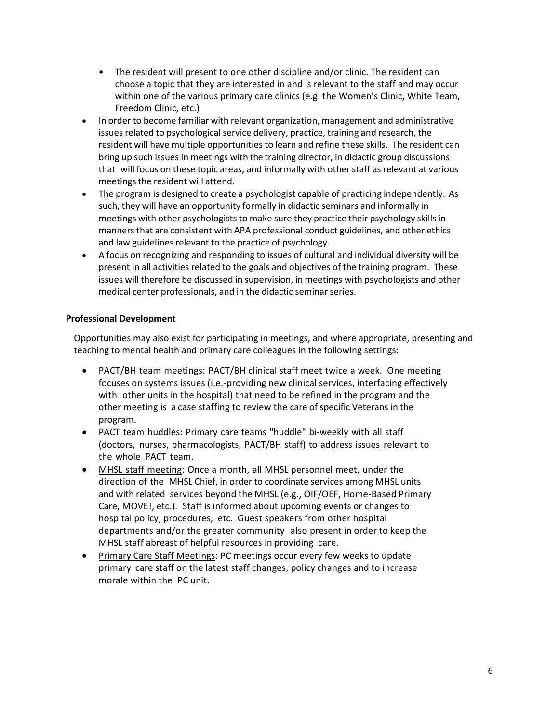- The resident will present to one other discipline and/or clinic. The resident can choose a topic that they are interested in and is relevant to the staff and may occur within one of the various primary care clinics (e.g. the Women's Clinic, White Team, Freedom Clinic, etc.)
- In order to become familiar with relevant organization, management and administrative issues related to psychological service delivery, practice, training and research, the resident will have multiple opportunities to learn and refine these skills. The resident can bring up such issues in meetings with the training director, in didactic group discussions that will focus on these topic areas, and informally with other staff as relevant at various meetings the resident will attend.
- The program is designed to create a psychologist capable of practicing independently. As such, they will have an opportunity formally in didactic seminars and informally in meetings with other psychologists to make sure they practice their psychology skills in mannersthat are consistent with APA professional conduct guidelines, and other ethics and law guidelines relevant to the practice of psychology.
- A focus on recognizing and responding to issues of cultural and individual diversity will be present in all activities related to the goals and objectives of the training program. These issues will therefore be discussed in supervision, in meetings with psychologists and other medical center professionals, and in the didactic seminar series.

### **Professional Development**

Opportunities may also exist for participating in meetings, and where appropriate, presenting and teaching to mental health and primary care colleagues in the following settings:

- PACT/BH team meetings: PACT/BH clinical staff meet twice a week. One meeting focuses on systems issues (i.e.-providing new clinical services, interfacing effectively with other units in the hospital) that need to be refined in the program and the other meeting is a case staffing to review the care of specific Veterans in the program.
- PACT team huddles: Primary care teams "huddle" bi-weekly with all staff (doctors, nurses, pharmacologists, PACT/BH staff) to address issues relevant to the whole PACT team.
- MHSL staff meeting: Once a month, all MHSL personnel meet, under the direction of the MHSL Chief, in order to coordinate services among MHSL units and with related services beyond the MHSL (e.g., OIF/OEF, Home-Based Primary Care, MOVE!, etc.). Staff is informed about upcoming events or changes to hospital policy, procedures, etc. Guest speakers from other hospital departments and/or the greater community also present in order to keep the MHSL staff abreast of helpful resources in providing care.
- Primary Care Staff Meetings: PC meetings occur every few weeks to update primary care staff on the latest staff changes, policy changes and to increase morale within the PC unit.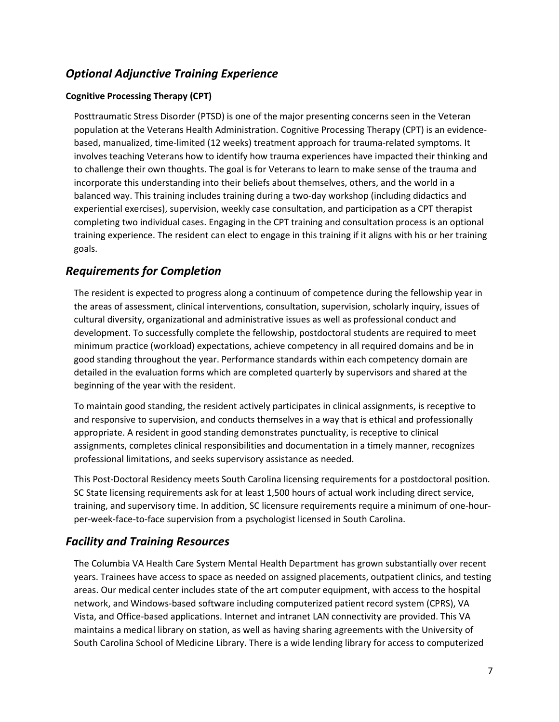## *Optional Adjunctive Training Experience*

### **Cognitive Processing Therapy (CPT)**

Posttraumatic Stress Disorder (PTSD) is one of the major presenting concerns seen in the Veteran population at the Veterans Health Administration. Cognitive Processing Therapy (CPT) is an evidencebased, manualized, time-limited (12 weeks) treatment approach for trauma-related symptoms. It involves teaching Veterans how to identify how trauma experiences have impacted their thinking and to challenge their own thoughts. The goal is for Veterans to learn to make sense of the trauma and incorporate this understanding into their beliefs about themselves, others, and the world in a balanced way. This training includes training during a two-day workshop (including didactics and experiential exercises), supervision, weekly case consultation, and participation as a CPT therapist completing two individual cases. Engaging in the CPT training and consultation process is an optional training experience. The resident can elect to engage in this training if it aligns with his or her training goals.

## *Requirements for Completion*

The resident is expected to progress along a continuum of competence during the fellowship year in the areas of assessment, clinical interventions, consultation, supervision, scholarly inquiry, issues of cultural diversity, organizational and administrative issues as well as professional conduct and development. To successfully complete the fellowship, postdoctoral students are required to meet minimum practice (workload) expectations, achieve competency in all required domains and be in good standing throughout the year. Performance standards within each competency domain are detailed in the evaluation forms which are completed quarterly by supervisors and shared at the beginning of the year with the resident.

To maintain good standing, the resident actively participates in clinical assignments, is receptive to and responsive to supervision, and conducts themselves in a way that is ethical and professionally appropriate. A resident in good standing demonstrates punctuality, is receptive to clinical assignments, completes clinical responsibilities and documentation in a timely manner, recognizes professional limitations, and seeks supervisory assistance as needed.

This Post-Doctoral Residency meets South Carolina licensing requirements for a postdoctoral position. SC State licensing requirements ask for at least 1,500 hours of actual work including direct service, training, and supervisory time. In addition, SC licensure requirements require a minimum of one-hourper-week-face-to-face supervision from a psychologist licensed in South Carolina.

## *Facility and Training Resources*

The Columbia VA Health Care System Mental Health Department has grown substantially over recent years. Trainees have access to space as needed on assigned placements, outpatient clinics, and testing areas. Our medical center includes state of the art computer equipment, with access to the hospital network, and Windows-based software including computerized patient record system (CPRS), VA Vista, and Office-based applications. Internet and intranet LAN connectivity are provided. This VA maintains a medical library on station, as well as having sharing agreements with the University of South Carolina School of Medicine Library. There is a wide lending library for access to computerized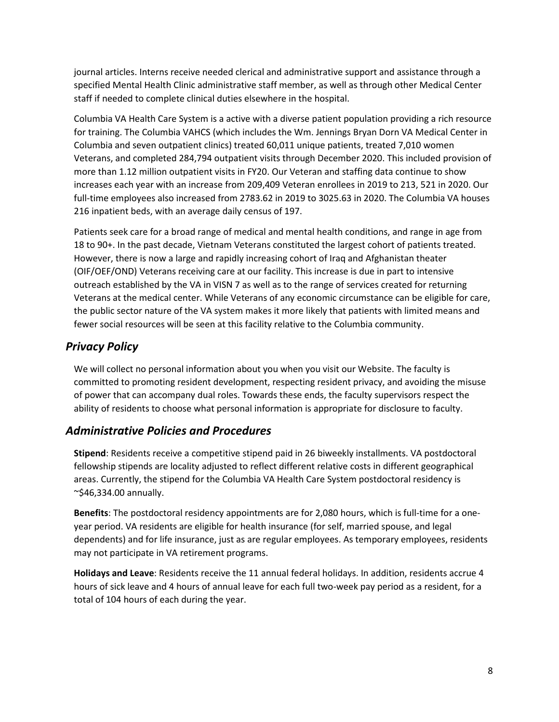journal articles. Interns receive needed clerical and administrative support and assistance through a specified Mental Health Clinic administrative staff member, as well as through other Medical Center staff if needed to complete clinical duties elsewhere in the hospital.

Columbia VA Health Care System is a active with a diverse patient population providing a rich resource for training. The Columbia VAHCS (which includes the Wm. Jennings Bryan Dorn VA Medical Center in Columbia and seven outpatient clinics) treated 60,011 unique patients, treated 7,010 women Veterans, and completed 284,794 outpatient visits through December 2020. This included provision of more than 1.12 million outpatient visits in FY20. Our Veteran and staffing data continue to show increases each year with an increase from 209,409 Veteran enrollees in 2019 to 213, 521 in 2020. Our full-time employees also increased from 2783.62 in 2019 to 3025.63 in 2020. The Columbia VA houses 216 inpatient beds, with an average daily census of 197.

Patients seek care for a broad range of medical and mental health conditions, and range in age from 18 to 90+. In the past decade, Vietnam Veterans constituted the largest cohort of patients treated. However, there is now a large and rapidly increasing cohort of Iraq and Afghanistan theater (OIF/OEF/OND) Veterans receiving care at our facility. This increase is due in part to intensive outreach established by the VA in VISN 7 as well as to the range of services created for returning Veterans at the medical center. While Veterans of any economic circumstance can be eligible for care, the public sector nature of the VA system makes it more likely that patients with limited means and fewer social resources will be seen at this facility relative to the Columbia community.

## *Privacy Policy*

We will collect no personal information about you when you visit our Website. The faculty is committed to promoting resident development, respecting resident privacy, and avoiding the misuse of power that can accompany dual roles. Towards these ends, the faculty supervisors respect the ability of residents to choose what personal information is appropriate for disclosure to faculty.

## *Administrative Policies and Procedures*

**Stipend**: Residents receive a competitive stipend paid in 26 biweekly installments. VA postdoctoral fellowship stipends are locality adjusted to reflect different relative costs in different geographical areas. Currently, the stipend for the Columbia VA Health Care System postdoctoral residency is  $\sim$ \$46,334.00 annually.

**Benefits**: The postdoctoral residency appointments are for 2,080 hours, which is full-time for a oneyear period. VA residents are eligible for health insurance (for self, married spouse, and legal dependents) and for life insurance, just as are regular employees. As temporary employees, residents may not participate in VA retirement programs.

**Holidays and Leave**: Residents receive the 11 annual federal holidays. In addition, residents accrue 4 hours of sick leave and 4 hours of annual leave for each full two-week pay period as a resident, for a total of 104 hours of each during the year.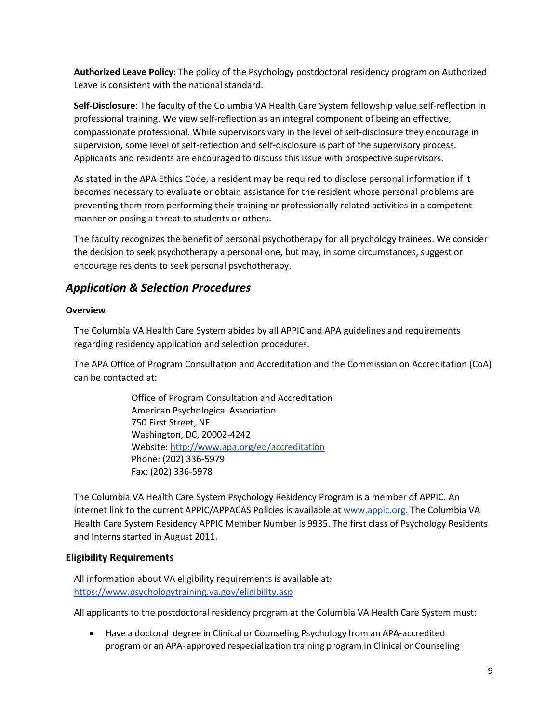**Authorized Leave Policy**: The policy of the Psychology postdoctoral residency program on Authorized Leave is consistent with the national standard.

**Self-Disclosure**: The faculty of the Columbia VA Health Care System fellowship value self-reflection in professional training. We view self-reflection as an integral component of being an effective, compassionate professional. While supervisors vary in the level of self-disclosure they encourage in supervision, some level of self-reflection and self-disclosure is part of the supervisory process. Applicants and residents are encouraged to discuss this issue with prospective supervisors.

As stated in the APA Ethics Code, a resident may be required to disclose personal information if it becomes necessary to evaluate or obtain assistance for the resident whose personal problems are preventing them from performing their training or professionally related activities in a competent manner or posing a threat to students or others.

The faculty recognizes the benefit of personal psychotherapy for all psychology trainees. We consider the decision to seek psychotherapy a personal one, but may, in some circumstances, suggest or encourage residents to seek personal psychotherapy.

## *Application & Selection Procedures*

### **Overview**

The Columbia VA Health Care System abides by all APPIC and APA guidelines and requirements regarding residency application and selection procedures.

The APA Office of Program Consultation and Accreditation and the Commission on Accreditation (CoA) can be contacted at:

> Office of Program Consultation and Accreditation American Psychological Association 750 First Street, NE Washington, DC, 20002-4242 Website[: http://www.apa.org/ed/accreditation](http://www.apa.org/ed/accreditation) Phone: (202) 336-5979 Fax: (202) 336-5978

The Columbia VA Health Care System Psychology Residency Program is a member of APPIC. An internet link to the current APPIC/APPACAS Policies is available at [www.appic.org.](http://www.appic.org/) The Columbia VA Health Care System Residency APPIC Member Number is 9935. The first class of Psychology Residents and Interns started in August 2011.

### **Eligibility Requirements**

All information about VA eligibility requirements is available at: <https://www.psychologytraining.va.gov/eligibility.asp>

All applicants to the postdoctoral residency program at the Columbia VA Health Care System must:

• Have a doctoral degree in Clinical or Counseling Psychology from an APA-accredited program or an APA-approved respecialization training program in Clinical or Counseling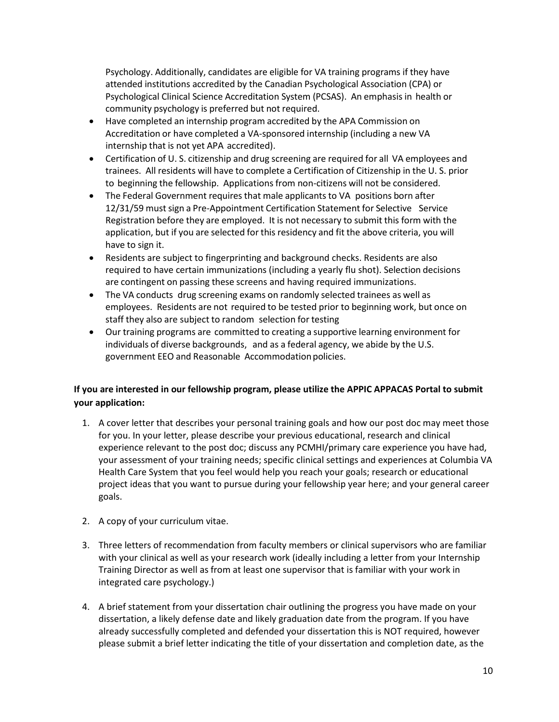Psychology. Additionally, candidates are eligible for VA training programs if they have attended institutions accredited by the Canadian Psychological Association (CPA) or Psychological Clinical Science Accreditation System (PCSAS). An emphasis in health or community psychology is preferred but not required.

- Have completed an internship program accredited by the APA Commission on Accreditation or have completed a VA-sponsored internship (including a new VA internship that is not yet APA accredited).
- Certification of U. S. citizenship and drug screening are required for all VA employees and trainees. All residents will have to complete a Certification of Citizenship in the U. S. prior to beginning the fellowship. Applications from non-citizens will not be considered.
- The Federal Government requires that male applicants to VA positions born after 12/31/59 must sign a Pre-Appointment Certification Statement for Selective Service Registration before they are employed. It is not necessary to submit this form with the application, but if you are selected for this residency and fit the above criteria, you will have to sign it.
- Residents are subject to fingerprinting and background checks. Residents are also required to have certain immunizations (including a yearly flu shot). Selection decisions are contingent on passing these screens and having required immunizations.
- The VA conducts drug screening exams on randomly selected trainees as well as employees. Residents are not required to be tested prior to beginning work, but once on staff they also are subject to random selection for testing
- Our training programs are committed to creating a supportive learning environment for individuals of diverse backgrounds, and as a federal agency, we abide by the U.S. government EEO and Reasonable Accommodationpolicies.

### **If you are interested in our fellowship program, please utilize the APPIC APPACAS Portal to submit your application:**

- 1. A cover letter that describes your personal training goals and how our post doc may meet those for you. In your letter, please describe your previous educational, research and clinical experience relevant to the post doc; discuss any PCMHI/primary care experience you have had, your assessment of your training needs; specific clinical settings and experiences at Columbia VA Health Care System that you feel would help you reach your goals; research or educational project ideas that you want to pursue during your fellowship year here; and your general career goals.
- 2. A copy of your curriculum vitae.
- 3. Three letters of recommendation from faculty members or clinical supervisors who are familiar with your clinical as well as your research work (ideally including a letter from your Internship Training Director as well as from at least one supervisor that is familiar with your work in integrated care psychology.)
- 4. A brief statement from your dissertation chair outlining the progress you have made on your dissertation, a likely defense date and likely graduation date from the program. If you have already successfully completed and defended your dissertation this is NOT required, however please submit a brief letter indicating the title of your dissertation and completion date, as the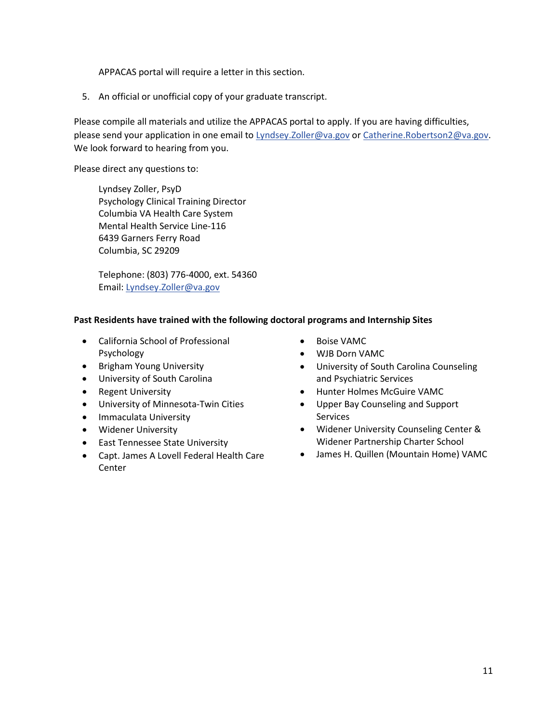APPACAS portal will require a letter in this section.

5. An official or unofficial copy of your graduate transcript.

Please compile all materials and utilize the APPACAS portal to apply. If you are having difficulties, please send your application in one email to [Lyndsey.Zoller@va.gov](mailto:Lyndsey.Zoller@va.gov) or [Catherine.Robertson2@va.gov.](mailto:Catherine.Robertson2@va.gov) We look forward to hearing from you.

Please direct any questions to:

Lyndsey Zoller, PsyD Psychology Clinical Training Director Columbia VA Health Care System Mental Health Service Line-116 6439 Garners Ferry Road Columbia, SC 29209

Telephone: (803) 776-4000, ext. 54360 Email: [Lyndsey.Zoller@va.gov](mailto:Lyndsey.Zoller@va.gov)

### **Past Residents have trained with the following doctoral programs and Internship Sites**

- California School of Professional Psychology
- Brigham Young University
- University of South Carolina
- Regent University
- University of Minnesota-Twin Cities
- Immaculata University
- Widener University
- East Tennessee State University
- Capt. James A Lovell Federal Health Care **Center**
- Boise VAMC
- WJB Dorn VAMC
- University of South Carolina Counseling and Psychiatric Services
- Hunter Holmes McGuire VAMC
- Upper Bay Counseling and Support Services
- Widener University Counseling Center & Widener Partnership Charter School
- James H. Quillen (Mountain Home) VAMC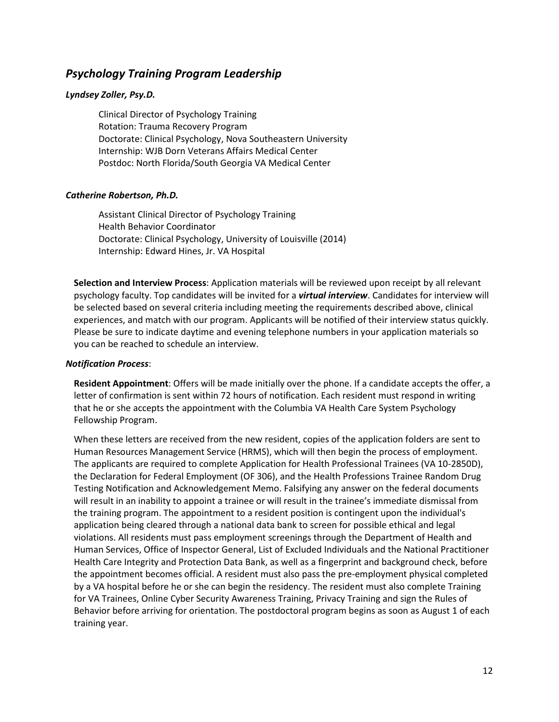### *Psychology Training Program Leadership*

### *Lyndsey Zoller, Psy.D.*

Clinical Director of Psychology Training Rotation: Trauma Recovery Program Doctorate: Clinical Psychology, Nova Southeastern University Internship: WJB Dorn Veterans Affairs Medical Center Postdoc: North Florida/South Georgia VA Medical Center

### *Catherine Robertson, Ph.D.*

Assistant Clinical Director of Psychology Training Health Behavior Coordinator Doctorate: Clinical Psychology, University of Louisville (2014) Internship: Edward Hines, Jr. VA Hospital

**Selection and Interview Process**: Application materials will be reviewed upon receipt by all relevant psychology faculty. Top candidates will be invited for a *virtual interview*. Candidates for interview will be selected based on several criteria including meeting the requirements described above, clinical experiences, and match with our program. Applicants will be notified of their interview status quickly. Please be sure to indicate daytime and evening telephone numbers in your application materials so you can be reached to schedule an interview.

### *Notification Process*:

**Resident Appointment**: Offers will be made initially over the phone. If a candidate accepts the offer, a letter of confirmation is sent within 72 hours of notification. Each resident must respond in writing that he or she accepts the appointment with the Columbia VA Health Care System Psychology Fellowship Program.

When these letters are received from the new resident, copies of the application folders are sent to Human Resources Management Service (HRMS), which will then begin the process of employment. The applicants are required to complete Application for Health Professional Trainees (VA 10-2850D), the Declaration for Federal Employment (OF 306), and the Health Professions Trainee Random Drug Testing Notification and Acknowledgement Memo. Falsifying any answer on the federal documents will result in an inability to appoint a trainee or will result in the trainee's immediate dismissal from the training program. The appointment to a resident position is contingent upon the individual's application being cleared through a national data bank to screen for possible ethical and legal violations. All residents must pass employment screenings through the Department of Health and Human Services, Office of Inspector General, List of Excluded Individuals and the National Practitioner Health Care Integrity and Protection Data Bank, as well as a fingerprint and background check, before the appointment becomes official. A resident must also pass the pre-employment physical completed by a VA hospital before he or she can begin the residency. The resident must also complete Training for VA Trainees, Online Cyber Security Awareness Training, Privacy Training and sign the Rules of Behavior before arriving for orientation. The postdoctoral program begins as soon as August 1 of each training year.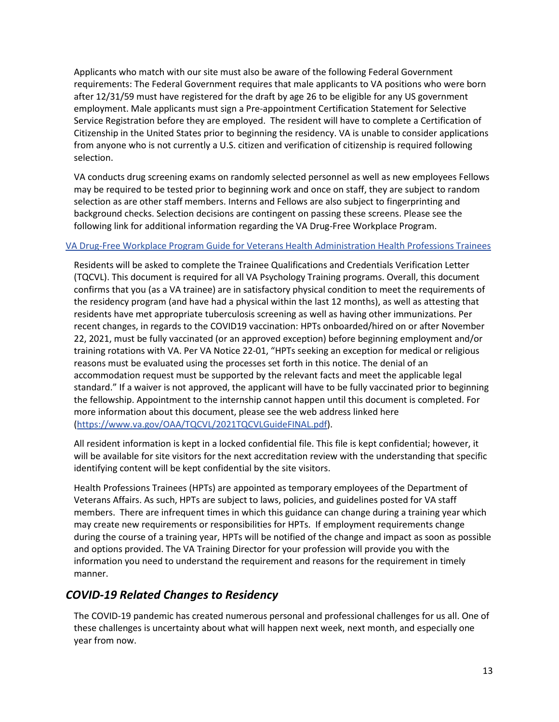Applicants who match with our site must also be aware of the following Federal Government requirements: The Federal Government requires that male applicants to VA positions who were born after 12/31/59 must have registered for the draft by age 26 to be eligible for any US government employment. Male applicants must sign a Pre-appointment Certification Statement for Selective Service Registration before they are employed. The resident will have to complete a Certification of Citizenship in the United States prior to beginning the residency. VA is unable to consider applications from anyone who is not currently a U.S. citizen and verification of citizenship is required following selection.

VA conducts drug screening exams on randomly selected personnel as well as new employees Fellows may be required to be tested prior to beginning work and once on staff, they are subject to random selection as are other staff members. Interns and Fellows are also subject to fingerprinting and background checks. Selection decisions are contingent on passing these screens. Please see the following link for additional information regarding the VA Drug-Free Workplace Program.

### [VA Drug-Free Workplace Program Guide for Veterans Health Administration Health Professions Trainees](https://www.va.gov/OAA/onboarding/VHA_HPTsDrug-FreeWorkplaceOAA_HRA.pdf)

Residents will be asked to complete the Trainee Qualifications and Credentials Verification Letter (TQCVL). This document is required for all VA Psychology Training programs. Overall, this document confirms that you (as a VA trainee) are in satisfactory physical condition to meet the requirements of the residency program (and have had a physical within the last 12 months), as well as attesting that residents have met appropriate tuberculosis screening as well as having other immunizations. Per recent changes, in regards to the COVID19 vaccination: HPTs onboarded/hired on or after November 22, 2021, must be fully vaccinated (or an approved exception) before beginning employment and/or training rotations with VA. Per VA Notice 22-01, "HPTs seeking an exception for medical or religious reasons must be evaluated using the processes set forth in this notice. The denial of an accommodation request must be supported by the relevant facts and meet the applicable legal standard." If a waiver is not approved, the applicant will have to be fully vaccinated prior to beginning the fellowship. Appointment to the internship cannot happen until this document is completed. For more information about this document, please see the web address linked here [\(https://www.va.gov/OAA/TQCVL/2021TQCVLGuideFINAL.pdf\)](https://www.va.gov/OAA/TQCVL/2021TQCVLGuideFINAL.pdf).

All resident information is kept in a locked confidential file. This file is kept confidential; however, it will be available for site visitors for the next accreditation review with the understanding that specific identifying content will be kept confidential by the site visitors.

Health Professions Trainees (HPTs) are appointed as temporary employees of the Department of Veterans Affairs. As such, HPTs are subject to laws, policies, and guidelines posted for VA staff members. There are infrequent times in which this guidance can change during a training year which may create new requirements or responsibilities for HPTs. If employment requirements change during the course of a training year, HPTs will be notified of the change and impact as soon as possible and options provided. The VA Training Director for your profession will provide you with the information you need to understand the requirement and reasons for the requirement in timely manner.

### *COVID-19 Related Changes to Residency*

The COVID-19 pandemic has created numerous personal and professional challenges for us all. One of these challenges is uncertainty about what will happen next week, next month, and especially one year from now.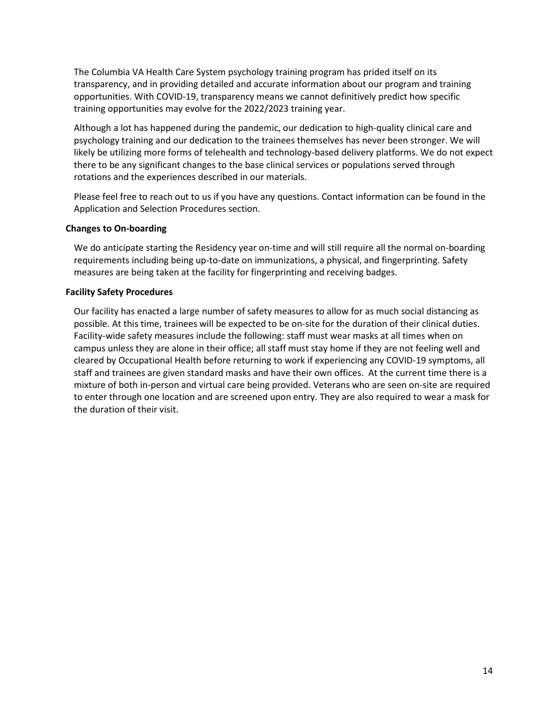The Columbia VA Health Care System psychology training program has prided itself on its transparency, and in providing detailed and accurate information about our program and training opportunities. With COVID-19, transparency means we cannot definitively predict how specific training opportunities may evolve for the 2022/2023 training year.

Although a lot has happened during the pandemic, our dedication to high-quality clinical care and psychology training and our dedication to the trainees themselves has never been stronger. We will likely be utilizing more forms of telehealth and technology-based delivery platforms. We do not expect there to be any significant changes to the base clinical services or populations served through rotations and the experiences described in our materials.

Please feel free to reach out to us if you have any questions. Contact information can be found in the Application and Selection Procedures section.

#### **Changes to On-boarding**

We do anticipate starting the Residency year on-time and will still require all the normal on-boarding requirements including being up-to-date on immunizations, a physical, and fingerprinting. Safety measures are being taken at the facility for fingerprinting and receiving badges.

#### **Facility Safety Procedures**

Our facility has enacted a large number of safety measures to allow for as much social distancing as possible. At this time, trainees will be expected to be on-site for the duration of their clinical duties. Facility-wide safety measures include the following: staff must wear masks at all times when on campus unless they are alone in their office; all staff must stay home if they are not feeling well and cleared by Occupational Health before returning to work if experiencing any COVID-19 symptoms, all staff and trainees are given standard masks and have their own offices. At the current time there is a mixture of both in-person and virtual care being provided. Veterans who are seen on-site are required to enter through one location and are screened upon entry. They are also required to wear a mask for the duration of their visit.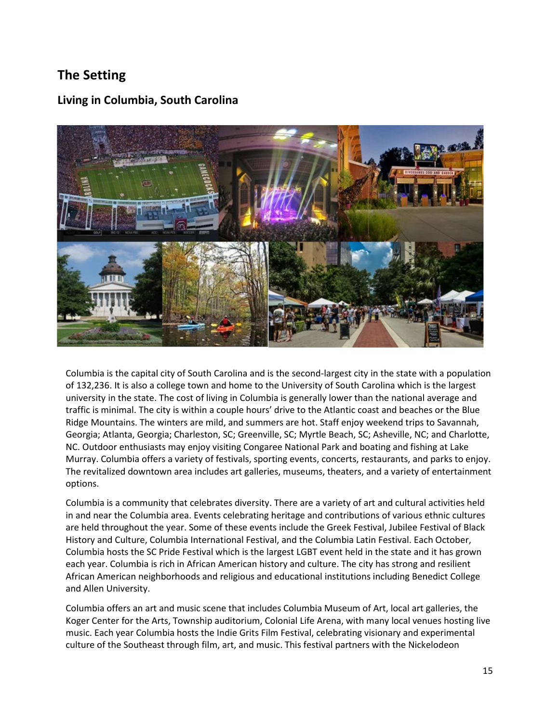## **The Setting**

### **Living in Columbia, South Carolina**



Columbia is the capital city of South Carolina and is the second-largest city in the state with a population of 132,236. It is also a college town and home to the University of South Carolina which is the largest university in the state. The cost of living in Columbia is generally lower than the national average and traffic is minimal. The city is within a couple hours' drive to the Atlantic coast and beaches or the Blue Ridge Mountains. The winters are mild, and summers are hot. Staff enjoy weekend trips to Savannah, Georgia; Atlanta, Georgia; Charleston, SC; Greenville, SC; Myrtle Beach, SC; Asheville, NC; and Charlotte, NC. Outdoor enthusiasts may enjoy visiting Congaree National Park and boating and fishing at Lake Murray. Columbia offers a variety of festivals, sporting events, concerts, restaurants, and parks to enjoy. The revitalized downtown area includes art galleries, museums, theaters, and a variety of entertainment options.

Columbia is a community that celebrates diversity. There are a variety of art and cultural activities held in and near the Columbia area. Events celebrating heritage and contributions of various ethnic cultures are held throughout the year. Some of these events include the Greek Festival, Jubilee Festival of Black History and Culture, Columbia International Festival, and the Columbia Latin Festival. Each October, Columbia hosts the SC Pride Festival which is the largest LGBT event held in the state and it has grown each year. Columbia is rich in African American history and culture. The city has strong and resilient African American neighborhoods and religious and educational institutions including Benedict College and Allen University.

Columbia offers an art and music scene that includes Columbia Museum of Art, local art galleries, the Koger Center for the Arts, Township auditorium, Colonial Life Arena, with many local venues hosting live music. Each year Columbia hosts the Indie Grits Film Festival, celebrating visionary and experimental culture of the Southeast through film, art, and music. This festival partners with the Nickelodeon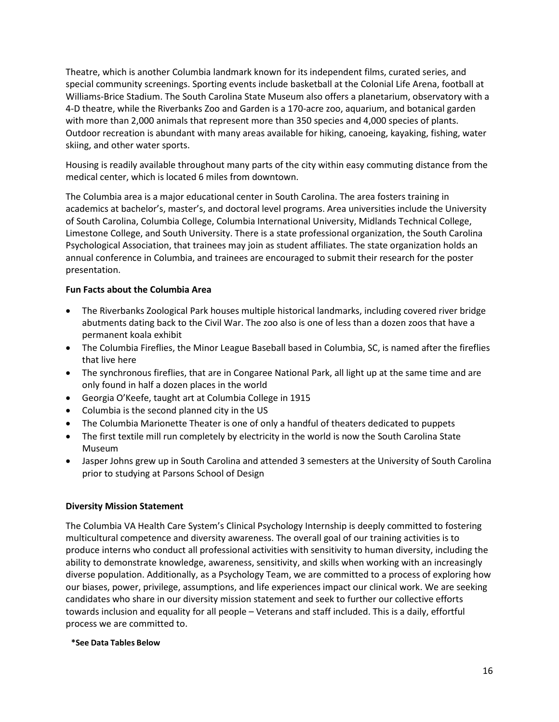Theatre, which is another Columbia landmark known for its independent films, curated series, and special community screenings. Sporting events include basketball at the Colonial Life Arena, football at Williams-Brice Stadium. The South Carolina State Museum also offers a planetarium, observatory with a 4-D theatre, while the Riverbanks Zoo and Garden is a 170-acre zoo, aquarium, and botanical garden with more than 2,000 animals that represent more than 350 species and 4,000 species of plants. Outdoor recreation is abundant with many areas available for hiking, canoeing, kayaking, fishing, water skiing, and other water sports.

Housing is readily available throughout many parts of the city within easy commuting distance from the medical center, which is located 6 miles from downtown.

The Columbia area is a major educational center in South Carolina. The area fosters training in academics at bachelor's, master's, and doctoral level programs. Area universities include the University of South Carolina, Columbia College, Columbia International University, Midlands Technical College, Limestone College, and South University. There is a state professional organization, the South Carolina Psychological Association, that trainees may join as student affiliates. The state organization holds an annual conference in Columbia, and trainees are encouraged to submit their research for the poster presentation.

### **Fun Facts about the Columbia Area**

- The Riverbanks Zoological Park houses multiple historical landmarks, including covered river bridge abutments dating back to the Civil War. The zoo also is one of less than a dozen zoos that have a permanent koala exhibit
- The Columbia Fireflies, the Minor League Baseball based in Columbia, SC, is named after the fireflies that live here
- The synchronous fireflies, that are in Congaree National Park, all light up at the same time and are only found in half a dozen places in the world
- Georgia O'Keefe, taught art at Columbia College in 1915
- Columbia is the second planned city in the US
- The Columbia Marionette Theater is one of only a handful of theaters dedicated to puppets
- The first textile mill run completely by electricity in the world is now the South Carolina State Museum
- Jasper Johns grew up in South Carolina and attended 3 semesters at the University of South Carolina prior to studying at Parsons School of Design

### **Diversity Mission Statement**

The Columbia VA Health Care System's Clinical Psychology Internship is deeply committed to fostering multicultural competence and diversity awareness. The overall goal of our training activities is to produce interns who conduct all professional activities with sensitivity to human diversity, including the ability to demonstrate knowledge, awareness, sensitivity, and skills when working with an increasingly diverse population. Additionally, as a Psychology Team, we are committed to a process of exploring how our biases, power, privilege, assumptions, and life experiences impact our clinical work. We are seeking candidates who share in our diversity mission statement and seek to further our collective efforts towards inclusion and equality for all people – Veterans and staff included. This is a daily, effortful process we are committed to.

### **\*See Data Tables Below**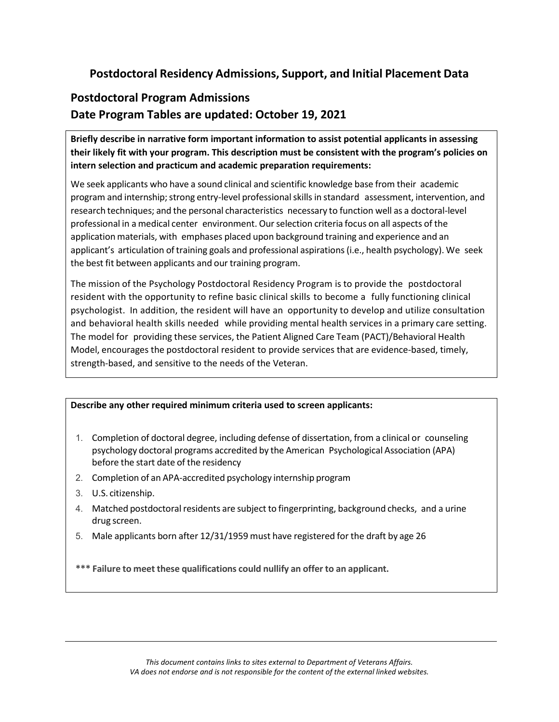## **Postdoctoral Residency Admissions, Support, and Initial Placement Data**

## **Postdoctoral Program Admissions Date Program Tables are updated: October 19, 2021**

**Briefly describe in narrative form important information to assist potential applicants in assessing their likely fit with your program. This description must be consistent with the program's policies on intern selection and practicum and academic preparation requirements:**

We seek applicants who have a sound clinical and scientific knowledge base from their academic program and internship; strong entry-level professional skills in standard assessment, intervention, and research techniques; and the personal characteristics necessary to function well as a doctoral-level professional in a medical center environment. Ourselection criteria focus on all aspects of the application materials, with emphases placed upon background training and experience and an applicant's articulation of training goals and professional aspirations (i.e., health psychology). We seek the best fit between applicants and our training program.

The mission of the Psychology Postdoctoral Residency Program is to provide the postdoctoral resident with the opportunity to refine basic clinical skills to become a fully functioning clinical psychologist. In addition, the resident will have an opportunity to develop and utilize consultation and behavioral health skills needed while providing mental health services in a primary care setting. The model for providing these services, the Patient Aligned Care Team (PACT)/Behavioral Health Model, encourages the postdoctoral resident to provide services that are evidence-based, timely, strength-based, and sensitive to the needs of the Veteran.

### **Describe any other required minimum criteria used to screen applicants:**

- 1. Completion of doctoral degree, including defense of dissertation, from a clinical or counseling psychology doctoral programs accredited by the American Psychological Association (APA) before the start date of the residency
- 2. Completion of an APA-accredited psychology internship program
- 3. U.S. citizenship.
- 4. Matched postdoctoral residents are subject to fingerprinting, background checks, and a urine drug screen.
- 5. Male applicants born after 12/31/1959 must have registered for the draft by age 26

**\*\*\* Failure to meet these qualifications could nullify an offer to an applicant.**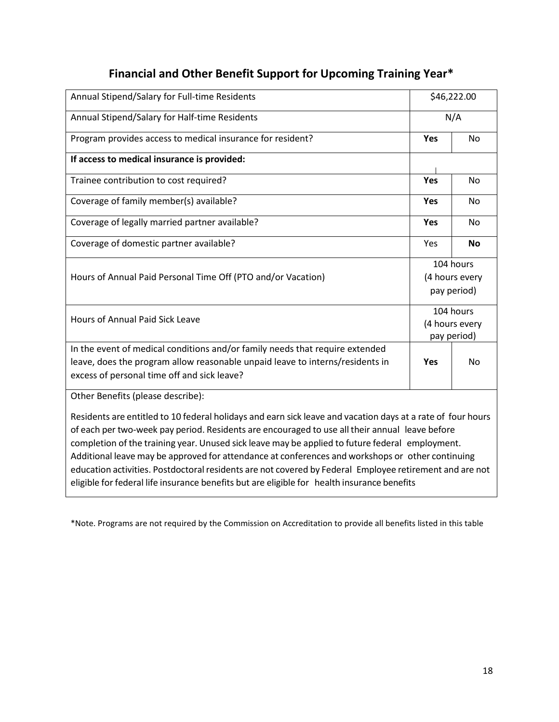# **Financial and Other Benefit Support for Upcoming Training Year\***

| Annual Stipend/Salary for Full-time Residents                                                                                                                                                                                                                                                                                                                                                                                                                                                                                                                                                                                  | \$46,222.00                                |           |  |
|--------------------------------------------------------------------------------------------------------------------------------------------------------------------------------------------------------------------------------------------------------------------------------------------------------------------------------------------------------------------------------------------------------------------------------------------------------------------------------------------------------------------------------------------------------------------------------------------------------------------------------|--------------------------------------------|-----------|--|
| Annual Stipend/Salary for Half-time Residents                                                                                                                                                                                                                                                                                                                                                                                                                                                                                                                                                                                  | N/A                                        |           |  |
| Program provides access to medical insurance for resident?                                                                                                                                                                                                                                                                                                                                                                                                                                                                                                                                                                     | <b>Yes</b>                                 | <b>No</b> |  |
| If access to medical insurance is provided:                                                                                                                                                                                                                                                                                                                                                                                                                                                                                                                                                                                    |                                            |           |  |
| Trainee contribution to cost required?                                                                                                                                                                                                                                                                                                                                                                                                                                                                                                                                                                                         | Yes                                        | No        |  |
| Coverage of family member(s) available?                                                                                                                                                                                                                                                                                                                                                                                                                                                                                                                                                                                        | Yes                                        | No        |  |
| Coverage of legally married partner available?                                                                                                                                                                                                                                                                                                                                                                                                                                                                                                                                                                                 | <b>Yes</b>                                 | <b>No</b> |  |
| Coverage of domestic partner available?                                                                                                                                                                                                                                                                                                                                                                                                                                                                                                                                                                                        | Yes                                        | <b>No</b> |  |
| Hours of Annual Paid Personal Time Off (PTO and/or Vacation)                                                                                                                                                                                                                                                                                                                                                                                                                                                                                                                                                                   | 104 hours<br>(4 hours every<br>pay period) |           |  |
| Hours of Annual Paid Sick Leave                                                                                                                                                                                                                                                                                                                                                                                                                                                                                                                                                                                                | 104 hours<br>(4 hours every<br>pay period) |           |  |
| In the event of medical conditions and/or family needs that require extended<br>leave, does the program allow reasonable unpaid leave to interns/residents in<br>excess of personal time off and sick leave?                                                                                                                                                                                                                                                                                                                                                                                                                   | <b>Yes</b>                                 | <b>No</b> |  |
| Other Benefits (please describe):                                                                                                                                                                                                                                                                                                                                                                                                                                                                                                                                                                                              |                                            |           |  |
| Residents are entitled to 10 federal holidays and earn sick leave and vacation days at a rate of four hours<br>of each per two-week pay period. Residents are encouraged to use all their annual leave before<br>completion of the training year. Unused sick leave may be applied to future federal employment.<br>Additional leave may be approved for attendance at conferences and workshops or other continuing<br>education activities. Postdoctoral residents are not covered by Federal Employee retirement and are not<br>eligible for federal life insurance benefits but are eligible for health insurance benefits |                                            |           |  |

\*Note. Programs are not required by the Commission on Accreditation to provide all benefits listed in this table